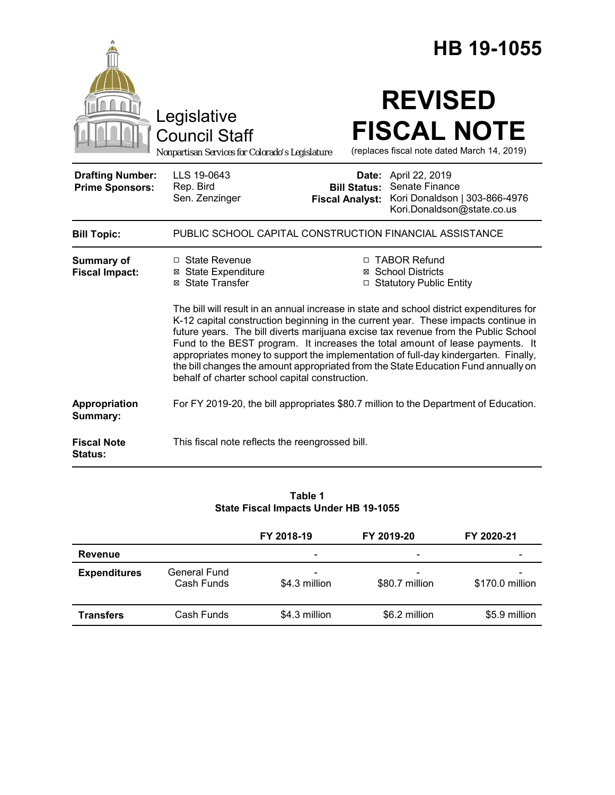|                                                   |                                                                                                                                                                                                                                                                                                                                                                                                                                                                                          | HB 19-1055                                             |                                                                                                                                                                      |  |  |
|---------------------------------------------------|------------------------------------------------------------------------------------------------------------------------------------------------------------------------------------------------------------------------------------------------------------------------------------------------------------------------------------------------------------------------------------------------------------------------------------------------------------------------------------------|--------------------------------------------------------|----------------------------------------------------------------------------------------------------------------------------------------------------------------------|--|--|
|                                                   | Legislative<br><b>Council Staff</b><br>Nonpartisan Services for Colorado's Legislature                                                                                                                                                                                                                                                                                                                                                                                                   |                                                        | <b>REVISED</b><br><b>FISCAL NOTE</b><br>(replaces fiscal note dated March 14, 2019)                                                                                  |  |  |
| <b>Drafting Number:</b><br><b>Prime Sponsors:</b> | LLS 19-0643<br>Rep. Bird<br>Sen. Zenzinger                                                                                                                                                                                                                                                                                                                                                                                                                                               | Date:<br><b>Bill Status:</b><br><b>Fiscal Analyst:</b> | April 22, 2019<br>Senate Finance<br>Kori Donaldson   303-866-4976<br>Kori.Donaldson@state.co.us                                                                      |  |  |
| <b>Bill Topic:</b>                                | PUBLIC SCHOOL CAPITAL CONSTRUCTION FINANCIAL ASSISTANCE                                                                                                                                                                                                                                                                                                                                                                                                                                  |                                                        |                                                                                                                                                                      |  |  |
| Summary of<br><b>Fiscal Impact:</b>               | $\Box$ State Revenue<br><b>⊠</b> State Expenditure<br>⊠ State Transfer                                                                                                                                                                                                                                                                                                                                                                                                                   |                                                        | □ TABOR Refund<br><b>⊠</b> School Districts<br>□ Statutory Public Entity<br>The bill will result in an annual increase in state and school district expenditures for |  |  |
|                                                   | K-12 capital construction beginning in the current year. These impacts continue in<br>future years. The bill diverts marijuana excise tax revenue from the Public School<br>Fund to the BEST program. It increases the total amount of lease payments. It<br>appropriates money to support the implementation of full-day kindergarten. Finally,<br>the bill changes the amount appropriated from the State Education Fund annually on<br>behalf of charter school capital construction. |                                                        |                                                                                                                                                                      |  |  |
| Appropriation<br>Summary:                         | For FY 2019-20, the bill appropriates \$80.7 million to the Department of Education.                                                                                                                                                                                                                                                                                                                                                                                                     |                                                        |                                                                                                                                                                      |  |  |
| <b>Fiscal Note</b><br>Status:                     | This fiscal note reflects the reengrossed bill.                                                                                                                                                                                                                                                                                                                                                                                                                                          |                                                        |                                                                                                                                                                      |  |  |

### **Table 1 State Fiscal Impacts Under HB 19-1055**

|                     |                            | FY 2018-19                                | FY 2019-20               | FY 2020-21      |  |
|---------------------|----------------------------|-------------------------------------------|--------------------------|-----------------|--|
| Revenue             |                            | $\overline{\phantom{a}}$                  | $\overline{\phantom{0}}$ |                 |  |
| <b>Expenditures</b> | General Fund<br>Cash Funds | $\overline{\phantom{a}}$<br>\$4.3 million | -<br>\$80.7 million      | \$170.0 million |  |
| <b>Transfers</b>    | Cash Funds                 | \$4.3 million                             | \$6.2 million            | \$5.9 million   |  |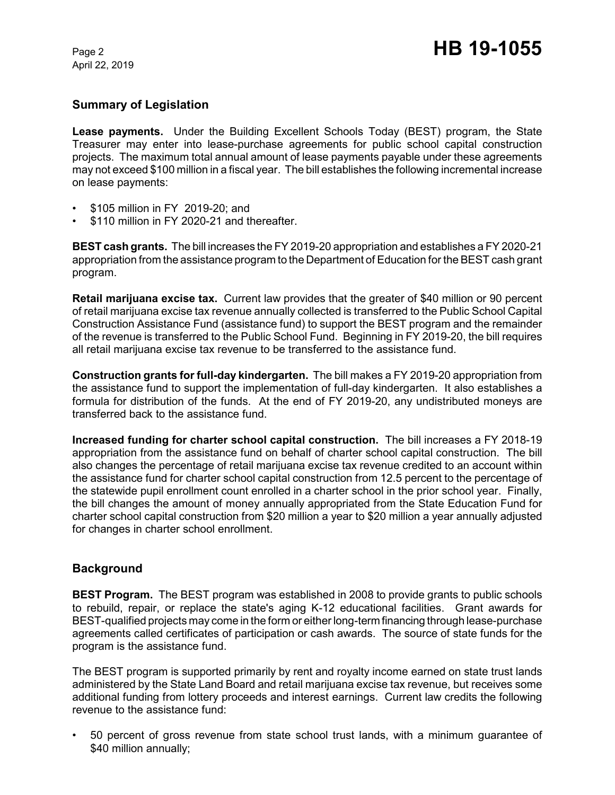April 22, 2019

# **Summary of Legislation**

**Lease payments.** Under the Building Excellent Schools Today (BEST) program, the State Treasurer may enter into lease-purchase agreements for public school capital construction projects. The maximum total annual amount of lease payments payable under these agreements may not exceed \$100 million in a fiscal year. The bill establishes the following incremental increase on lease payments:

- \$105 million in FY 2019-20; and
- \$110 million in FY 2020-21 and thereafter.

**BEST cash grants.** The bill increases the FY 2019-20 appropriation and establishes a FY 2020-21 appropriation from the assistance program to the Department of Education for the BEST cash grant program.

**Retail marijuana excise tax.** Current law provides that the greater of \$40 million or 90 percent of retail marijuana excise tax revenue annually collected is transferred to the Public School Capital Construction Assistance Fund (assistance fund) to support the BEST program and the remainder of the revenue is transferred to the Public School Fund. Beginning in FY 2019-20, the bill requires all retail marijuana excise tax revenue to be transferred to the assistance fund.

**Construction grants for full-day kindergarten.** The bill makes a FY 2019-20 appropriation from the assistance fund to support the implementation of full-day kindergarten. It also establishes a formula for distribution of the funds. At the end of FY 2019-20, any undistributed moneys are transferred back to the assistance fund.

**Increased funding for charter school capital construction.** The bill increases a FY 2018-19 appropriation from the assistance fund on behalf of charter school capital construction. The bill also changes the percentage of retail marijuana excise tax revenue credited to an account within the assistance fund for charter school capital construction from 12.5 percent to the percentage of the statewide pupil enrollment count enrolled in a charter school in the prior school year. Finally, the bill changes the amount of money annually appropriated from the State Education Fund for charter school capital construction from \$20 million a year to \$20 million a year annually adjusted for changes in charter school enrollment.

# **Background**

**BEST Program.** The BEST program was established in 2008 to provide grants to public schools to rebuild, repair, or replace the state's aging K-12 educational facilities. Grant awards for BEST-qualified projects may come in the form or either long-term financing through lease-purchase agreements called certificates of participation or cash awards. The source of state funds for the program is the assistance fund.

The BEST program is supported primarily by rent and royalty income earned on state trust lands administered by the State Land Board and retail marijuana excise tax revenue, but receives some additional funding from lottery proceeds and interest earnings. Current law credits the following revenue to the assistance fund:

• 50 percent of gross revenue from state school trust lands, with a minimum guarantee of \$40 million annually;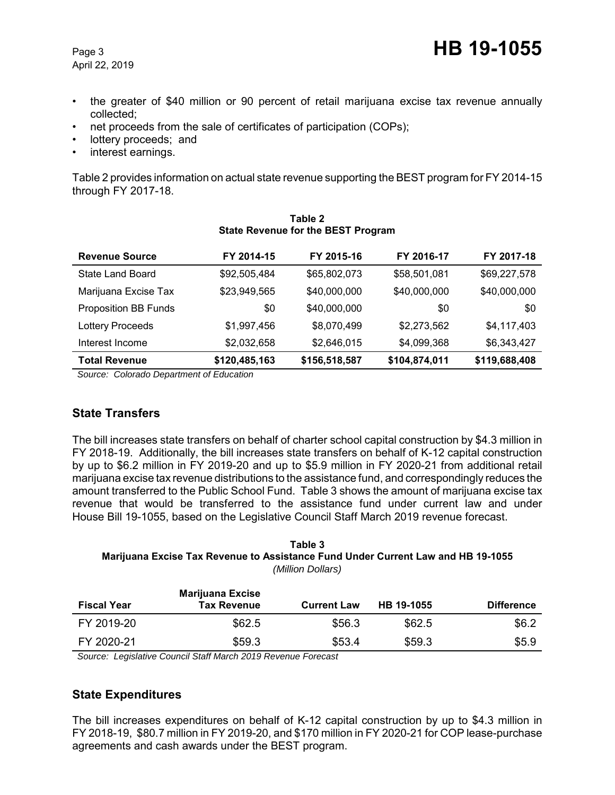- the greater of \$40 million or 90 percent of retail marijuana excise tax revenue annually collected;
- net proceeds from the sale of certificates of participation (COPs);
- lottery proceeds; and
- interest earnings.

Table 2 provides information on actual state revenue supporting the BEST program for FY 2014-15 through FY 2017-18.

| <b>Revenue Source</b>       | FY 2014-15    | FY 2015-16    | FY 2016-17    | FY 2017-18    |
|-----------------------------|---------------|---------------|---------------|---------------|
| State Land Board            | \$92,505,484  | \$65,802,073  | \$58,501,081  | \$69,227,578  |
| Marijuana Excise Tax        | \$23,949,565  | \$40,000,000  | \$40,000,000  | \$40,000,000  |
| <b>Proposition BB Funds</b> | \$0           | \$40,000,000  | \$0           | \$0           |
| <b>Lottery Proceeds</b>     | \$1,997,456   | \$8,070,499   | \$2,273,562   | \$4,117,403   |
| Interest Income             | \$2,032,658   | \$2,646,015   | \$4,099,368   | \$6,343,427   |
| <b>Total Revenue</b>        | \$120,485,163 | \$156,518,587 | \$104,874,011 | \$119,688,408 |

#### **Table 2 State Revenue for the BEST Program**

 *Source: Colorado Department of Education*

# **State Transfers**

The bill increases state transfers on behalf of charter school capital construction by \$4.3 million in FY 2018-19. Additionally, the bill increases state transfers on behalf of K-12 capital construction by up to \$6.2 million in FY 2019-20 and up to \$5.9 million in FY 2020-21 from additional retail marijuana excise tax revenue distributions to the assistance fund, and correspondingly reduces the amount transferred to the Public School Fund. Table 3 shows the amount of marijuana excise tax revenue that would be transferred to the assistance fund under current law and under House Bill 19-1055, based on the Legislative Council Staff March 2019 revenue forecast.

#### **Table 3 Marijuana Excise Tax Revenue to Assistance Fund Under Current Law and HB 19-1055** *(Million Dollars)*

| <b>Fiscal Year</b> | <b>Marijuana Excise</b><br><b>Tax Revenue</b> | <b>Current Law</b> | HB 19-1055 | <b>Difference</b> |
|--------------------|-----------------------------------------------|--------------------|------------|-------------------|
| FY 2019-20         | \$62.5                                        | \$56.3             | \$62.5     | \$6.2             |
| FY 2020-21         | \$59.3                                        | \$53.4             | \$59.3     | \$5.9             |

 *Source: Legislative Council Staff March 2019 Revenue Forecast*

# **State Expenditures**

The bill increases expenditures on behalf of K-12 capital construction by up to \$4.3 million in FY 2018-19, \$80.7 million in FY 2019-20, and \$170 million in FY 2020-21 for COP lease-purchase agreements and cash awards under the BEST program.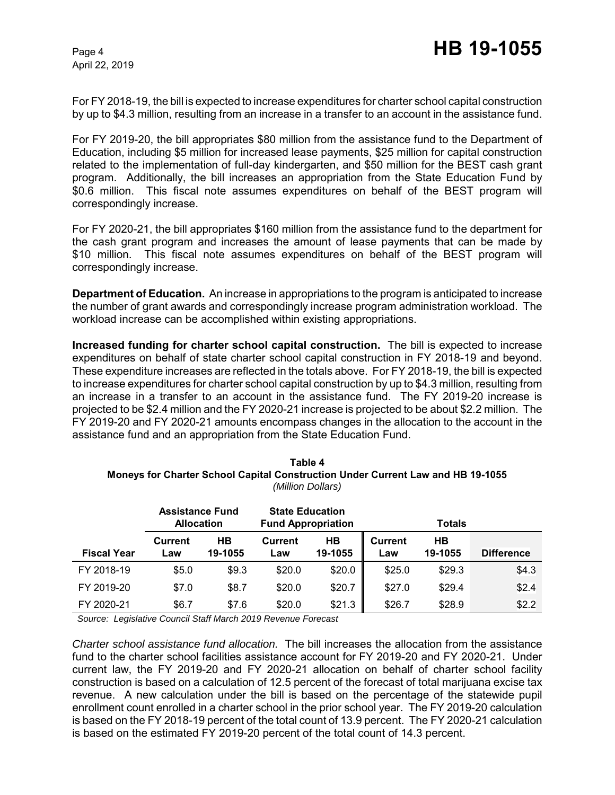April 22, 2019

For FY 2018-19, the bill is expected to increase expenditures for charter school capital construction by up to \$4.3 million, resulting from an increase in a transfer to an account in the assistance fund.

For FY 2019-20, the bill appropriates \$80 million from the assistance fund to the Department of Education, including \$5 million for increased lease payments, \$25 million for capital construction related to the implementation of full-day kindergarten, and \$50 million for the BEST cash grant program. Additionally, the bill increases an appropriation from the State Education Fund by \$0.6 million. This fiscal note assumes expenditures on behalf of the BEST program will correspondingly increase.

For FY 2020-21, the bill appropriates \$160 million from the assistance fund to the department for the cash grant program and increases the amount of lease payments that can be made by \$10 million. This fiscal note assumes expenditures on behalf of the BEST program will correspondingly increase.

**Department of Education.** An increase in appropriations to the program is anticipated to increase the number of grant awards and correspondingly increase program administration workload. The workload increase can be accomplished within existing appropriations.

**Increased funding for charter school capital construction.** The bill is expected to increase expenditures on behalf of state charter school capital construction in FY 2018-19 and beyond. These expenditure increases are reflected in the totals above. For FY 2018-19, the bill is expected to increase expenditures for charter school capital construction by up to \$4.3 million, resulting from an increase in a transfer to an account in the assistance fund. The FY 2019-20 increase is projected to be \$2.4 million and the FY 2020-21 increase is projected to be about \$2.2 million. The FY 2019-20 and FY 2020-21 amounts encompass changes in the allocation to the account in the assistance fund and an appropriation from the State Education Fund.

| Table 4                                                                                |
|----------------------------------------------------------------------------------------|
| <b>Moneys for Charter School Capital Construction Under Current Law and HB 19-1055</b> |
| (Million Dollars)                                                                      |

|                    | <b>Assistance Fund</b><br><b>Allocation</b> |               | <b>State Education</b><br><b>Fund Appropriation</b> |               | <b>Totals</b>         |                      |                   |
|--------------------|---------------------------------------------|---------------|-----------------------------------------------------|---------------|-----------------------|----------------------|-------------------|
| <b>Fiscal Year</b> | <b>Current</b><br>-aw                       | HВ<br>19-1055 | <b>Current</b><br>Law                               | HB<br>19-1055 | <b>Current</b><br>Law | <b>HB</b><br>19-1055 | <b>Difference</b> |
| FY 2018-19         | \$5.0                                       | \$9.3         | \$20.0                                              | \$20.0        | \$25.0                | \$29.3               | \$4.3             |
| FY 2019-20         | \$7.0                                       | \$8.7         | \$20.0                                              | \$20.7        | \$27.0                | \$29.4               | \$2.4             |
| FY 2020-21         | \$6.7                                       | \$7.6         | \$20.0                                              | \$21.3        | \$26.7                | \$28.9               | \$2.2             |

 *Source: Legislative Council Staff March 2019 Revenue Forecast*

*Charter school assistance fund allocation.* The bill increases the allocation from the assistance fund to the charter school facilities assistance account for FY 2019-20 and FY 2020-21. Under current law, the FY 2019-20 and FY 2020-21 allocation on behalf of charter school facility construction is based on a calculation of 12.5 percent of the forecast of total marijuana excise tax revenue. A new calculation under the bill is based on the percentage of the statewide pupil enrollment count enrolled in a charter school in the prior school year. The FY 2019-20 calculation is based on the FY 2018-19 percent of the total count of 13.9 percent. The FY 2020-21 calculation is based on the estimated FY 2019-20 percent of the total count of 14.3 percent.